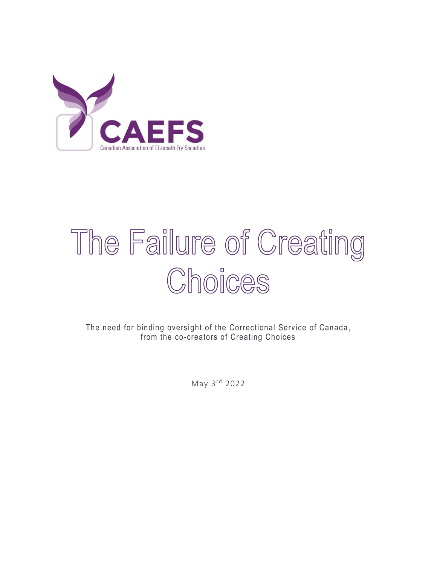

# The Failure of Creating Choices

The need for binding oversight of the Correctional Service of Canada , from the co-creators of Creating Choices

May 3rd 2022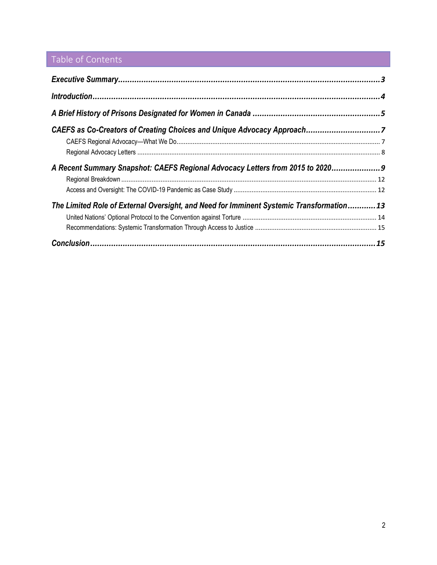### Table of Contents

| The Limited Role of External Oversight, and Need for Imminent Systemic Transformation13 |  |
|-----------------------------------------------------------------------------------------|--|
|                                                                                         |  |
|                                                                                         |  |
|                                                                                         |  |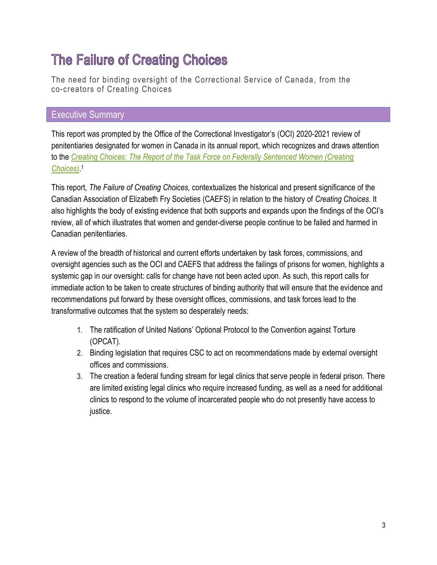## The Failure of Creating Choices

The need for binding oversight of the Correctional Service of Canada , from the co-creators of Creating Choices

#### <span id="page-2-0"></span>Executive Summary

This report was prompted by the Office of the Correctional Investigator's (OCI) 2020-2021 review of penitentiaries designated for women in Canada in its annual report, which recognizes and draws attention to the *Creating Choices*: *[The Report of the Task Force on Federally Sentenced Women \(Creating](https://www.csc-scc.gc.ca/women/092/002002-0001-en.pdf)  [Choices\)](https://www.csc-scc.gc.ca/women/092/002002-0001-en.pdf)*. 1

This report, *The Failure of Creating Choices,* contextualizes the historical and present significance of the Canadian Association of Elizabeth Fry Societies (CAEFS) in relation to the history of *Creating Choices*. It also highlights the body of existing evidence that both supports and expands upon the findings of the OCI's review, all of which illustrates that women and gender-diverse people continue to be failed and harmed in Canadian penitentiaries.

A review of the breadth of historical and current efforts undertaken by task forces, commissions, and oversight agencies such as the OCI and CAEFS that address the failings of prisons for women, highlights a systemic gap in our oversight: calls for change have not been acted upon. As such, this report calls for immediate action to be taken to create structures of binding authority that will ensure that the evidence and recommendations put forward by these oversight offices, commissions, and task forces lead to the transformative outcomes that the system so desperately needs:

- 1. The ratification of United Nations' Optional Protocol to the Convention against Torture (OPCAT).
- 2. Binding legislation that requires CSC to act on recommendations made by external oversight offices and commissions.
- 3. The creation a federal funding stream for legal clinics that serve people in federal prison. There are limited existing legal clinics who require increased funding, as well as a need for additional clinics to respond to the volume of incarcerated people who do not presently have access to justice.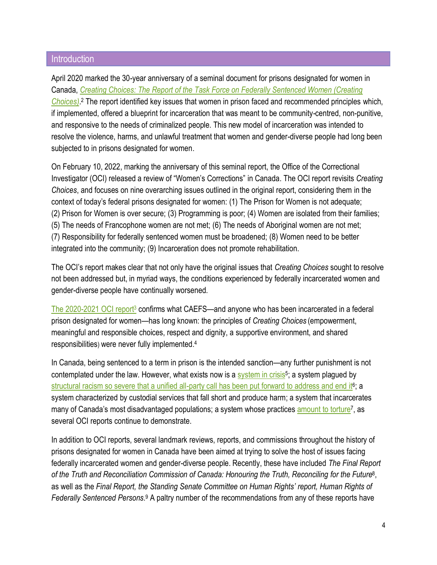#### <span id="page-3-0"></span>**Introduction**

April 2020 marked the 30-year anniversary of a seminal document for prisons designated for women in Canada, *[Creating Choices: The Report of the Task Force on Federally Sentenced Women \(Creating](https://www.csc-scc.gc.ca/women/092/002002-0001-en.pdf)  [Choices\)](https://www.csc-scc.gc.ca/women/092/002002-0001-en.pdf)*. <sup>2</sup> The report identified key issues that women in prison faced and recommended principles which, if implemented, offered a blueprint for incarceration that was meant to be community-centred, non-punitive, and responsive to the needs of criminalized people. This new model of incarceration was intended to resolve the violence, harms, and unlawful treatment that women and gender-diverse people had long been subjected to in prisons designated for women.

On February 10, 2022, marking the anniversary of this seminal report, the Office of the Correctional Investigator (OCI) released a review of "Women's Corrections" in Canada. The OCI report revisits *Creating Choices*, and focuses on nine overarching issues outlined in the original report, considering them in the context of today's federal prisons designated for women: (1) The Prison for Women is not adequate; (2) Prison for Women is over secure; (3) Programming is poor; (4) Women are isolated from their families; (5) The needs of Francophone women are not met; (6) The needs of Aboriginal women are not met; (7) Responsibility for federally sentenced women must be broadened; (8) Women need to be better integrated into the community; (9) Incarceration does not promote rehabilitation.

The OCI's report makes clear that not only have the original issues that *Creating Choices* sought to resolve not been addressed but, in myriad ways, the conditions experienced by federally incarcerated women and gender-diverse people have continually worsened.

[The 2020-2021 OCI](https://www.oci-bec.gc.ca/cnt/rpt/pdf/annrpt/annrpt20202021-eng.pdf) report<sup>3</sup> confirms what CAEFS—and anyone who has been incarcerated in a federal prison designated for women—has long known: the principles of *Creating Choices* (empowerment, meaningful and responsible choices, respect and dignity, a supportive environment, and shared responsibilities) were never fully implemented. 4

In Canada, being sentenced to a term in prison is the intended sanction—any further punishment is not contemplated under the law. However, what exists now is a [system in crisis](https://www.thestar.com/opinion/star-columnists/2018/01/04/treatment-of-women-in-canadian-prisons-a-human-rights-travesty.html)<sup>5</sup>; a system plagued by [structural racism so severe that a unified all-party call has been put forward to address and end it](https://www.theglobeandmail.com/canada/article-committee-mps-support-push-to-study-systemic-prison-racism/)<sup>6</sup>; a system characterized by custodial services that fall short and produce harm; a system that incarcerates many of Canada's most disadvantaged populations; a system whose practices [amount to torture](https://www.ctvnews.ca/canada/excessive-isolation-in-canada-s-prisons-amounts-to-torture-criminologists-report-1.5322432)<sup>7</sup>, as several OCI reports continue to demonstrate.

In addition to OCI reports, several landmark reviews, reports, and commissions throughout the history of prisons designated for women in Canada have been aimed at trying to solve the host of issues facing federally incarcerated women and gender-diverse people. Recently, these have included *The Final Report of the Truth and Reconciliation Commission of Canada: Honouring the Truth, Reconciling for the Future*<sup>8</sup> , as well as the *Final Report, the Standing Senate Committee on Human Rights' report, Human Rights of*  Federally Sentenced Persons.<sup>9</sup> A paltry number of the recommendations from any of these reports have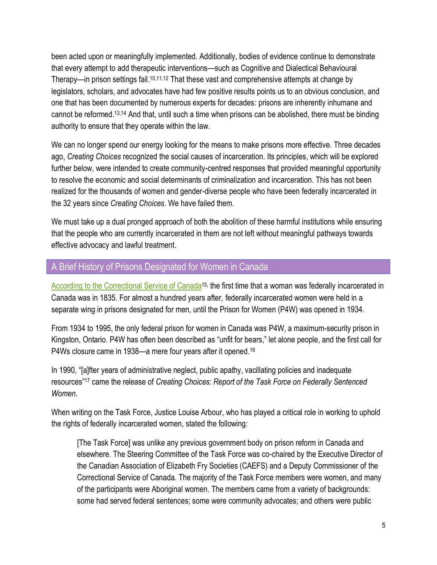been acted upon or meaningfully implemented. Additionally, bodies of evidence continue to demonstrate that every attempt to add therapeutic interventions—such as Cognitive and Dialectical Behavioural Therapy—in prison settings fail.<sup>10,11,12</sup> That these vast and comprehensive attempts at change by legislators, scholars, and advocates have had few positive results points us to an obvious conclusion, and one that has been documented by numerous experts for decades: prisons are inherently inhumane and cannot be reformed. 13,14 And that, until such a time when prisons can be abolished, there must be binding authority to ensure that they operate within the law.

We can no longer spend our energy looking for the means to make prisons more effective. Three decades ago, *Creating Choices* recognized the social causes of incarceration. Its principles, which will be explored further below, were intended to create community-centred responses that provided meaningful opportunity to resolve the economic and social determinants of criminalization and incarceration. This has not been realized for the thousands of women and gender-diverse people who have been federally incarcerated in the 32 years since *Creating Choices*. We have failed them.

We must take up a dual pronged approach of both the abolition of these harmful institutions while ensuring that the people who are currently incarcerated in them are not left without meaningful pathways towards effective advocacy and lawful treatment.

#### <span id="page-4-0"></span>A Brief History of Prisons Designated for Women in Canada

[According to the Correctional Service of Canada](https://www.csc-scc.gc.ca/text/pblct/brochurep4w/2-eng.shtml)<sup>1[5](https://www.csc-scc.gc.ca/text/pblct/brochurep4w/2-eng.shtml),</sup> the first time that a woman was federally incarcerated in Canada was in 1835. For almost a hundred years after, federally incarcerated women were held in a separate wing in prisons designated for men, until the Prison for Women (P4W) was opened in 1934.

From 1934 to 1995, the only federal prison for women in Canada was P4W, a maximum-security prison in Kingston, Ontario. P4W has often been described as "unfit for bears," let alone people, and the first call for P4Ws closure came in 1938—a mere four years after it opened.<sup>16</sup>

In 1990, "[a]fter years of administrative neglect, public apathy, vacillating policies and inadequate resources"<sup>17</sup> came the release of *Creating Choices: Report of the Task Force on Federally Sentenced Women*.

When writing on the Task Force, Justice Louise Arbour, who has played a critical role in working to uphold the rights of federally incarcerated women, stated the following:

[The Task Force] was unlike any previous government body on prison reform in Canada and elsewhere. The Steering Committee of the Task Force was co-chaired by the Executive Director of the Canadian Association of Elizabeth Fry Societies (CAEFS) and a Deputy Commissioner of the Correctional Service of Canada. The majority of the Task Force members were women, and many of the participants were Aboriginal women. The members came from a variety of backgrounds: some had served federal sentences; some were community advocates; and others were public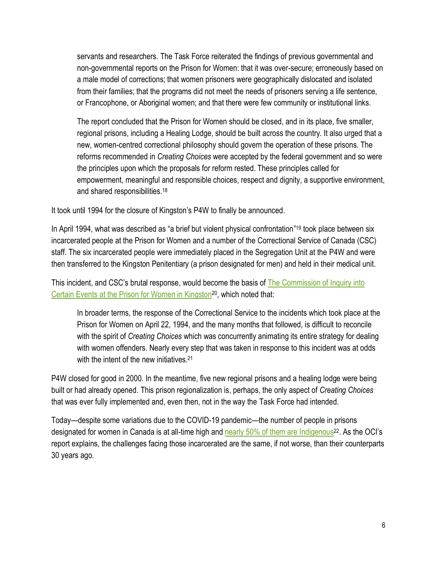servants and researchers. The Task Force reiterated the findings of previous governmental and non-governmental reports on the Prison for Women: that it was over-secure; erroneously based on a male model of corrections; that women prisoners were geographically dislocated and isolated from their families; that the programs did not meet the needs of prisoners serving a life sentence, or Francophone, or Aboriginal women; and that there were few community or institutional links.

The report concluded that the Prison for Women should be closed, and in its place, five smaller, regional prisons, including a Healing Lodge, should be built across the country. It also urged that a new, women-centred correctional philosophy should govern the operation of these prisons. The reforms recommended in *Creating Choices* were accepted by the federal government and so were the principles upon which the proposals for reform rested. These principles called for empowerment, meaningful and responsible choices, respect and dignity, a supportive environment, and shared responsibilities.<sup>18</sup>

It took until 1994 for the closure of Kingston's P4W to finally be announced.

In April 1994, what was described as "a brief but violent physical confrontation" <sup>19</sup> took place between six incarcerated people at the Prison for Women and a number of the Correctional Service of Canada (CSC) staff. The six incarcerated people were immediately placed in the Segregation Unit at the P4W and were then transferred to the Kingston Penitentiary (a prison designated for men) and held in their medical unit.

This incident, and CSC's brutal response, would become the basis of [The Commission of Inquiry into](https://publications.gc.ca/collections/collection_2017/bcp-pco/JS42-73-1996-eng.pdf)  Certain [Events at the Prison for Women in Kingston](https://publications.gc.ca/collections/collection_2017/bcp-pco/JS42-73-1996-eng.pdf)<sup>20</sup>, which noted that:

In broader terms, the response of the Correctional Service to the incidents which took place at the Prison for Women on April 22, 1994, and the many months that followed, is difficult to reconcile with the spirit of *Creating Choices* which was concurrently animating its entire strategy for dealing with women offenders. Nearly every step that was taken in response to this incident was at odds with the intent of the new initiatives.<sup>21</sup>

P4W closed for good in 2000. In the meantime, five new regional prisons and a healing lodge were being built or had already opened. This prison regionalization is, perhaps, the only aspect of *Creating Choices* that was ever fully implemented and, even then, not in the way the Task Force had intended.

Today—despite some variations due to the COVID-19 pandemic—the number of people in prisons designated for women in Canada is at all-time high and nearly [50% of them are](https://www.oci-bec.gc.ca/cnt/comm/press/press20211217-eng.aspx) Indigenous<sup>22</sup>. As the OCI's report explains, the challenges facing those incarcerated are the same, if not worse, than their counterparts 30 years ago.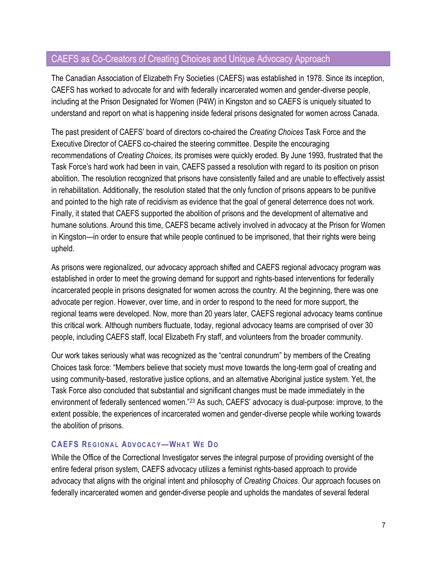#### <span id="page-6-0"></span>CAEFS as Co-Creators of Creating Choices and Unique Advocacy Approach

The Canadian Association of Elizabeth Fry Societies (CAEFS) was established in 1978. Since its inception, CAEFS has worked to advocate for and with federally incarcerated women and gender-diverse people, including at the Prison Designated for Women (P4W) in Kingston and so CAEFS is uniquely situated to understand and report on what is happening inside federal prisons designated for women across Canada.

The past president of CAEFS' board of directors co-chaired the *Creating Choices* Task Force and the Executive Director of CAEFS co-chaired the steering committee. Despite the encouraging recommendations of *Creating Choices*, its promises were quickly eroded. By June 1993, frustrated that the Task Force's hard work had been in vain, CAEFS passed a resolution with regard to its position on prison abolition. The resolution recognized that prisons have consistently failed and are unable to effectively assist in rehabilitation. Additionally, the resolution stated that the only function of prisons appears to be punitive and pointed to the high rate of recidivism as evidence that the goal of general deterrence does not work. Finally, it stated that CAEFS supported the abolition of prisons and the development of alternative and humane solutions. Around this time, CAEFS became actively involved in advocacy at the Prison for Women in Kingston—in order to ensure that while people continued to be imprisoned, that their rights were being upheld.

As prisons were regionalized, our advocacy approach shifted and CAEFS regional advocacy program was established in order to meet the growing demand for support and rights-based interventions for federally incarcerated people in prisons designated for women across the country. At the beginning, there was one advocate per region. However, over time, and in order to respond to the need for more support, the regional teams were developed. Now, more than 20 years later, CAEFS regional advocacy teams continue this critical work. Although numbers fluctuate, today, regional advocacy teams are comprised of over 30 people, including CAEFS staff, local Elizabeth Fry staff, and volunteers from the broader community.

Our work takes seriously what was recognized as the "central conundrum" by members of the Creating Choices task force: "Members believe that society must move towards the long-term goal of creating and using community-based, restorative justice options, and an alternative Aboriginal justice system. Yet, the Task Force also concluded that substantial and significant changes must be made immediately in the environment of federally sentenced women."<sup>23</sup> As such, CAEFS' advocacy is dual-purpose: improve, to the extent possible, the experiences of incarcerated women and gender-diverse people while working towards the abolition of prisons.

#### <span id="page-6-1"></span>**CAEFS REGIONAL ADVOCACY-WHAT WE DO**

While the Office of the Correctional Investigator serves the integral purpose of providing oversight of the entire federal prison system, CAEFS advocacy utilizes a feminist rights-based approach to provide advocacy that aligns with the original intent and philosophy of *Creating Choices*. Our approach focuses on federally incarcerated women and gender-diverse people and upholds the mandates of several federal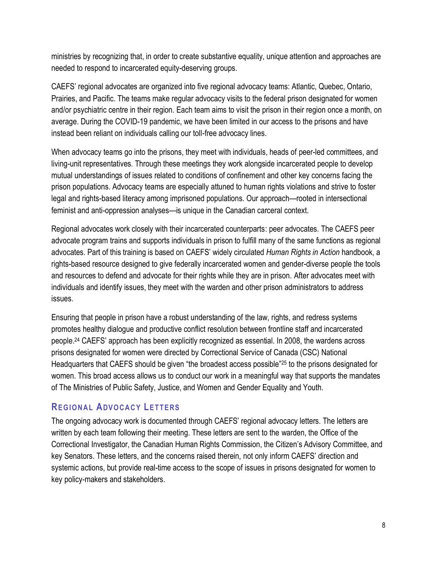ministries by recognizing that, in order to create substantive equality, unique attention and approaches are needed to respond to incarcerated equity-deserving groups.

CAEFS' regional advocates are organized into five regional advocacy teams: Atlantic, Quebec, Ontario, Prairies, and Pacific. The teams make regular advocacy visits to the federal prison designated for women and/or psychiatric centre in their region. Each team aims to visit the prison in their region once a month, on average. During the COVID-19 pandemic, we have been limited in our access to the prisons and have instead been reliant on individuals calling our toll-free advocacy lines.

When advocacy teams go into the prisons, they meet with individuals, heads of peer-led committees, and living-unit representatives. Through these meetings they work alongside incarcerated people to develop mutual understandings of issues related to conditions of confinement and other key concerns facing the prison populations. Advocacy teams are especially attuned to human rights violations and strive to foster legal and rights-based literacy among imprisoned populations. Our approach—rooted in intersectional feminist and anti-oppression analyses—is unique in the Canadian carceral context.

Regional advocates work closely with their incarcerated counterparts: peer advocates. The CAEFS peer advocate program trains and supports individuals in prison to fulfill many of the same functions as regional advocates. Part of this training is based on CAEFS' widely circulated *Human Rights in Action* handbook, a rights-based resource designed to give federally incarcerated women and gender-diverse people the tools and resources to defend and advocate for their rights while they are in prison. After advocates meet with individuals and identify issues, they meet with the warden and other prison administrators to address issues.

Ensuring that people in prison have a robust understanding of the law, rights, and redress systems promotes healthy dialogue and productive conflict resolution between frontline staff and incarcerated people. <sup>24</sup> CAEFS' approach has been explicitly recognized as essential. In 2008, the wardens across prisons designated for women were directed by Correctional Service of Canada (CSC) National Headquarters that CAEFS should be given "the broadest access possible"<sup>25</sup> to the prisons designated for women. This broad access allows us to conduct our work in a meaningful way that supports the mandates of The Ministries of Public Safety, Justice, and Women and Gender Equality and Youth.

#### <span id="page-7-0"></span>**REGIONAL ADVOCACY LETTERS**

The ongoing advocacy work is documented through CAEFS' regional advocacy letters. The letters are written by each team following their meeting. These letters are sent to the warden, the Office of the Correctional Investigator, the Canadian Human Rights Commission, the Citizen's Advisory Committee, and key Senators. These letters, and the concerns raised therein, not only inform CAEFS' direction and systemic actions, but provide real-time access to the scope of issues in prisons designated for women to key policy-makers and stakeholders.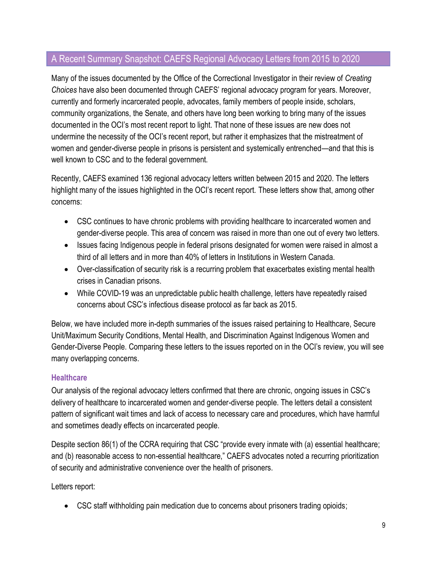#### <span id="page-8-0"></span>A Recent Summary Snapshot: CAEFS Regional Advocacy Letters from 2015 to 2020

Many of the issues documented by the Office of the Correctional Investigator in their review of *Creating Choices* have also been documented through CAEFS' regional advocacy program for years. Moreover, currently and formerly incarcerated people, advocates, family members of people inside, scholars, community organizations, the Senate, and others have long been working to bring many of the issues documented in the OCI's most recent report to light. That none of these issues are new does not undermine the necessity of the OCI's recent report, but rather it emphasizes that the mistreatment of women and gender-diverse people in prisons is persistent and systemically entrenched—and that this is well known to CSC and to the federal government.

Recently, CAEFS examined 136 regional advocacy letters written between 2015 and 2020. The letters highlight many of the issues highlighted in the OCI's recent report. These letters show that, among other concerns:

- CSC continues to have chronic problems with providing healthcare to incarcerated women and gender-diverse people. This area of concern was raised in more than one out of every two letters.
- Issues facing Indigenous people in federal prisons designated for women were raised in almost a third of all letters and in more than 40% of letters in Institutions in Western Canada.
- Over-classification of security risk is a recurring problem that exacerbates existing mental health crises in Canadian prisons.
- While COVID-19 was an unpredictable public health challenge, letters have repeatedly raised concerns about CSC's infectious disease protocol as far back as 2015.

Below, we have included more in-depth summaries of the issues raised pertaining to Healthcare, Secure Unit/Maximum Security Conditions, Mental Health, and Discrimination Against Indigenous Women and Gender-Diverse People. Comparing these letters to the issues reported on in the OCI's review, you will see many overlapping concerns.

#### **Healthcare**

Our analysis of the regional advocacy letters confirmed that there are chronic, ongoing issues in CSC's delivery of healthcare to incarcerated women and gender-diverse people. The letters detail a consistent pattern of significant wait times and lack of access to necessary care and procedures, which have harmful and sometimes deadly effects on incarcerated people.

Despite section 86(1) of the CCRA requiring that CSC "provide every inmate with (a) essential healthcare; and (b) reasonable access to non-essential healthcare," CAEFS advocates noted a recurring prioritization of security and administrative convenience over the health of prisoners.

Letters report:

• CSC staff withholding pain medication due to concerns about prisoners trading opioids;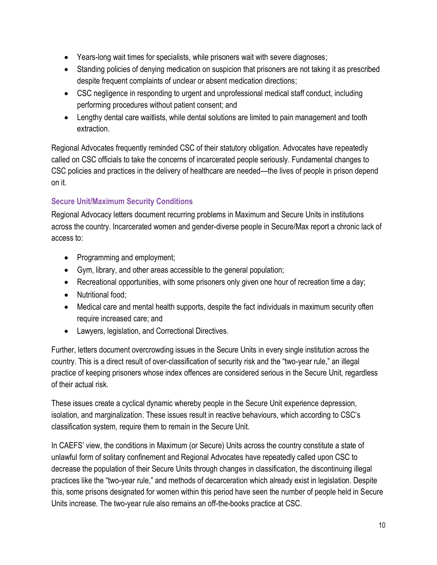- Years-long wait times for specialists, while prisoners wait with severe diagnoses;
- Standing policies of denying medication on suspicion that prisoners are not taking it as prescribed despite frequent complaints of unclear or absent medication directions;
- CSC negligence in responding to urgent and unprofessional medical staff conduct, including performing procedures without patient consent; and
- Lengthy dental care waitlists, while dental solutions are limited to pain management and tooth extraction.

Regional Advocates frequently reminded CSC of their statutory obligation. Advocates have repeatedly called on CSC officials to take the concerns of incarcerated people seriously. Fundamental changes to CSC policies and practices in the delivery of healthcare are needed—the lives of people in prison depend on it.

#### **Secure Unit/Maximum Security Conditions**

Regional Advocacy letters document recurring problems in Maximum and Secure Units in institutions across the country. Incarcerated women and gender-diverse people in Secure/Max report a chronic lack of access to:

- Programming and employment;
- Gym, library, and other areas accessible to the general population;
- Recreational opportunities, with some prisoners only given one hour of recreation time a day;
- Nutritional food;
- Medical care and mental health supports, despite the fact individuals in maximum security often require increased care; and
- Lawyers, legislation, and Correctional Directives.

Further, letters document overcrowding issues in the Secure Units in every single institution across the country. This is a direct result of over-classification of security risk and the "two-year rule," an illegal practice of keeping prisoners whose index offences are considered serious in the Secure Unit, regardless of their actual risk.

These issues create a cyclical dynamic whereby people in the Secure Unit experience depression, isolation, and marginalization. These issues result in reactive behaviours, which according to CSC's classification system, require them to remain in the Secure Unit.

In CAEFS' view, the conditions in Maximum (or Secure) Units across the country constitute a state of unlawful form of solitary confinement and Regional Advocates have repeatedly called upon CSC to decrease the population of their Secure Units through changes in classification, the discontinuing illegal practices like the "two-year rule," and methods of decarceration which already exist in legislation. Despite this, some prisons designated for women within this period have seen the number of people held in Secure Units increase. The two-year rule also remains an off-the-books practice at CSC.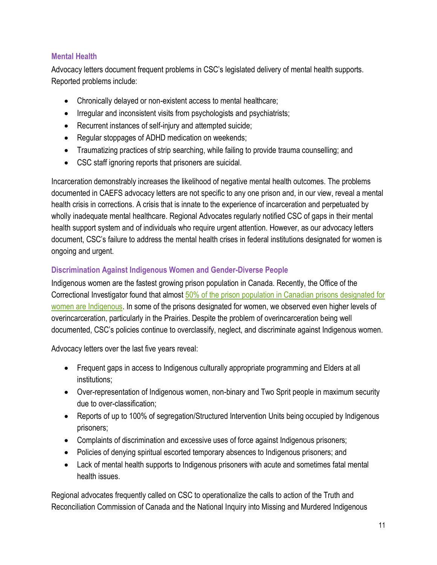#### **Mental Health**

Advocacy letters document frequent problems in CSC's legislated delivery of mental health supports. Reported problems include:

- Chronically delayed or non-existent access to mental healthcare;
- Irregular and inconsistent visits from psychologists and psychiatrists;
- Recurrent instances of self-injury and attempted suicide;
- Regular stoppages of ADHD medication on weekends;
- Traumatizing practices of strip searching, while failing to provide trauma counselling; and
- CSC staff ignoring reports that prisoners are suicidal.

Incarceration demonstrably increases the likelihood of negative mental health outcomes. The problems documented in CAEFS advocacy letters are not specific to any one prison and, in our view, reveal a mental health crisis in corrections. A crisis that is innate to the experience of incarceration and perpetuated by wholly inadequate mental healthcare. Regional Advocates regularly notified CSC of gaps in their mental health support system and of individuals who require urgent attention. However, as our advocacy letters document, CSC's failure to address the mental health crises in federal institutions designated for women is ongoing and urgent.

#### **Discrimination Against Indigenous Women and Gender-Diverse People**

Indigenous women are the fastest growing prison population in Canada. Recently, the Office of the Correctional Investigator found that almos[t 50% of the prison population in Canadian prisons designated for](https://www.oci-bec.gc.ca/cnt/comm/press/press20211217-eng.aspx)  [women are Indigenous.](https://www.oci-bec.gc.ca/cnt/comm/press/press20211217-eng.aspx) In some of the prisons designated for women, we observed even higher levels of overincarceration, particularly in the Prairies. Despite the problem of overincarceration being well documented, CSC's policies continue to overclassify, neglect, and discriminate against Indigenous women.

Advocacy letters over the last five years reveal:

- Frequent gaps in access to Indigenous culturally appropriate programming and Elders at all institutions;
- Over-representation of Indigenous women, non-binary and Two Sprit people in maximum security due to over-classification;
- Reports of up to 100% of segregation/Structured Intervention Units being occupied by Indigenous prisoners;
- Complaints of discrimination and excessive uses of force against Indigenous prisoners;
- Policies of denying spiritual escorted temporary absences to Indigenous prisoners; and
- Lack of mental health supports to Indigenous prisoners with acute and sometimes fatal mental health issues.

Regional advocates frequently called on CSC to operationalize the calls to action of the Truth and Reconciliation Commission of Canada and the National Inquiry into Missing and Murdered Indigenous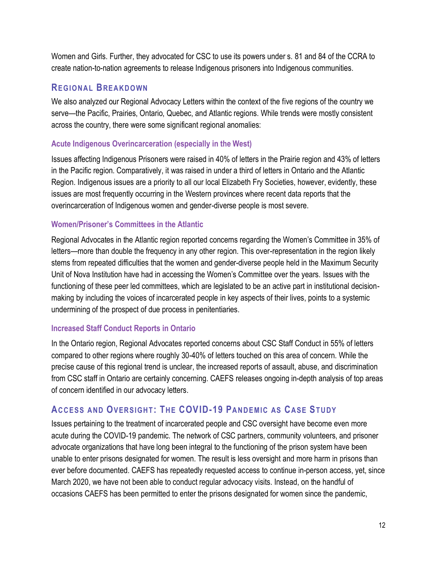Women and Girls. Further, they advocated for CSC to use its powers under s. 81 and 84 of the CCRA to create nation-to-nation agreements to release Indigenous prisoners into Indigenous communities.

#### <span id="page-11-0"></span>**REGIONAL BREAKDOWN**

We also analyzed our Regional Advocacy Letters within the context of the five regions of the country we serve—the Pacific, Prairies, Ontario, Quebec, and Atlantic regions. While trends were mostly consistent across the country, there were some significant regional anomalies:

#### **Acute Indigenous Overincarceration (especially in the West)**

Issues affecting Indigenous Prisoners were raised in 40% of letters in the Prairie region and 43% of letters in the Pacific region. Comparatively, it was raised in under a third of letters in Ontario and the Atlantic Region. Indigenous issues are a priority to all our local Elizabeth Fry Societies, however, evidently, these issues are most frequently occurring in the Western provinces where recent data reports that the overincarceration of Indigenous women and gender-diverse people is most severe.

#### **Women/Prisoner's Committees in the Atlantic**

Regional Advocates in the Atlantic region reported concerns regarding the Women's Committee in 35% of letters—more than double the frequency in any other region. This over-representation in the region likely stems from repeated difficulties that the women and gender-diverse people held in the Maximum Security Unit of Nova Institution have had in accessing the Women's Committee over the years. Issues with the functioning of these peer led committees, which are legislated to be an active part in institutional decisionmaking by including the voices of incarcerated people in key aspects of their lives, points to a systemic undermining of the prospect of due process in penitentiaries.

#### **Increased Staff Conduct Reports in Ontario**

In the Ontario region, Regional Advocates reported concerns about CSC Staff Conduct in 55% of letters compared to other regions where roughly 30-40% of letters touched on this area of concern. While the precise cause of this regional trend is unclear, the increased reports of assault, abuse, and discrimination from CSC staff in Ontario are certainly concerning. CAEFS releases ongoing in-depth analysis of top areas of concern identified in our advocacy letters.

#### <span id="page-11-1"></span>**ACCESS AND OVERSIGHT: THE COVID-19 PANDEMIC AS CASE STUDY**

Issues pertaining to the treatment of incarcerated people and CSC oversight have become even more acute during the COVID-19 pandemic. The network of CSC partners, community volunteers, and prisoner advocate organizations that have long been integral to the functioning of the prison system have been unable to enter prisons designated for women. The result is less oversight and more harm in prisons than ever before documented. CAEFS has repeatedly requested access to continue in-person access, yet, since March 2020, we have not been able to conduct regular advocacy visits. Instead, on the handful of occasions CAEFS has been permitted to enter the prisons designated for women since the pandemic,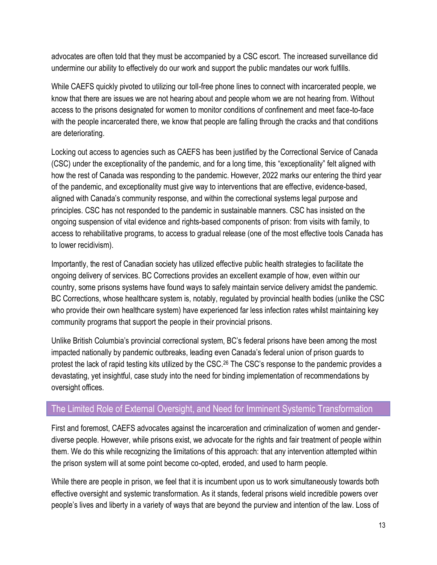advocates are often told that they must be accompanied by a CSC escort. The increased surveillance did undermine our ability to effectively do our work and support the public mandates our work fulfills.

While CAEFS quickly pivoted to utilizing our toll-free phone lines to connect with incarcerated people, we know that there are issues we are not hearing about and people whom we are not hearing from. Without access to the prisons designated for women to monitor conditions of confinement and meet face-to-face with the people incarcerated there, we know that people are falling through the cracks and that conditions are deteriorating.

Locking out access to agencies such as CAEFS has been justified by the Correctional Service of Canada (CSC) under the exceptionality of the pandemic, and for a long time, this "exceptionality" felt aligned with how the rest of Canada was responding to the pandemic. However, 2022 marks our entering the third year of the pandemic, and exceptionality must give way to interventions that are effective, evidence-based, aligned with Canada's community response, and within the correctional systems legal purpose and principles. CSC has not responded to the pandemic in sustainable manners. CSC has insisted on the ongoing suspension of vital evidence and rights-based components of prison: from visits with family, to access to rehabilitative programs, to access to gradual release (one of the most effective tools Canada has to lower recidivism).

Importantly, the rest of Canadian society has utilized effective public health strategies to facilitate the ongoing delivery of services. BC Corrections provides an excellent example of how, even within our country, some prisons systems have found ways to safely maintain service delivery amidst the pandemic. BC Corrections, whose healthcare system is, notably, regulated by provincial health bodies (unlike the CSC who provide their own healthcare system) have experienced far less infection rates whilst maintaining key community programs that support the people in their provincial prisons.

Unlike British Columbia's provincial correctional system, BC's federal prisons have been among the most impacted nationally by pandemic outbreaks, leading even Canada's federal union of prison guards to protest the lack of rapid testing kits utilized by the CSC. <sup>26</sup> The CSC's response to the pandemic provides a devastating, yet insightful, case study into the need for binding implementation of recommendations by oversight offices.

#### <span id="page-12-0"></span>The Limited Role of External Oversight, and Need for Imminent Systemic Transformation

First and foremost, CAEFS advocates against the incarceration and criminalization of women and genderdiverse people. However, while prisons exist, we advocate for the rights and fair treatment of people within them. We do this while recognizing the limitations of this approach: that any intervention attempted within the prison system will at some point become co-opted, eroded, and used to harm people.

While there are people in prison, we feel that it is incumbent upon us to work simultaneously towards both effective oversight and systemic transformation. As it stands, federal prisons wield incredible powers over people's lives and liberty in a variety of ways that are beyond the purview and intention of the law. Loss of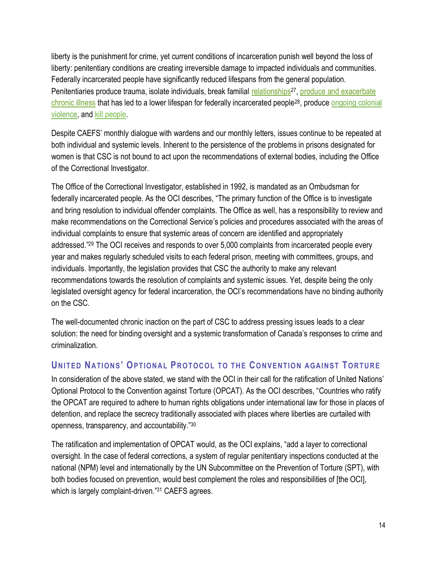liberty is the punishment for crime, yet current conditions of incarceration punish well beyond the loss of liberty: penitentiary conditions are creating irreversible damage to impacted individuals and communities. Federally incarcerated people have significantly reduced lifespans from the general population. Penitentiaries produce trauma, isolate individuals, break familial [relationships](https://www.cbc.ca/documentarychannel/features/prison-relationships-face-serious-challenges-but-can-be-a-source-of-support)<sup>27</sup>, produce and exacerbate [chronic illness](https://www.oci-bec.gc.ca/cnt/rpt/oth-aut/oth-aut20190228-eng.aspx) that has led to a lower lifespan for federally incarcerated people28, produce [ongoing colonial](https://www.macleans.ca/news/canada/canadas-prisons-are-the-new-residential-schools/)  [violence,](https://www.macleans.ca/news/canada/canadas-prisons-are-the-new-residential-schools/) and [kill people.](https://www.vice.com/en/article/nnk58m/young-women-keep-killing-themselves-in-canadas-jails)

Despite CAEFS' monthly dialogue with wardens and our monthly letters, issues continue to be repeated at both individual and systemic levels. Inherent to the persistence of the problems in prisons designated for women is that CSC is not bound to act upon the recommendations of external bodies, including the Office of the Correctional Investigator.

The Office of the Correctional Investigator, established in 1992, is mandated as an Ombudsman for federally incarcerated people. As the OCI describes, "The primary function of the Office is to investigate and bring resolution to individual offender complaints. The Office as well, has a responsibility to review and make recommendations on the Correctional Service's policies and procedures associated with the areas of individual complaints to ensure that systemic areas of concern are identified and appropriately addressed." <sup>29</sup> The OCI receives and responds to over 5,000 complaints from incarcerated people every year and makes regularly scheduled visits to each federal prison, meeting with committees, groups, and individuals. Importantly, the legislation provides that CSC the authority to make any relevant recommendations towards the resolution of complaints and systemic issues. Yet, despite being the only legislated oversight agency for federal incarceration, the OCI's recommendations have no binding authority on the CSC.

The well-documented chronic inaction on the part of CSC to address pressing issues leads to a clear solution: the need for binding oversight and a systemic transformation of Canada's responses to crime and criminalization.

#### <span id="page-13-0"></span>**UNITED NATIONS' OPTIONAL PROTOCOL TO THE CONVENTION AGAINST TORTURE**

In consideration of the above stated, we stand with the OCI in their call for the ratification of United Nations' Optional Protocol to the Convention against Torture (OPCAT). As the OCI describes, "Countries who ratify the OPCAT are required to adhere to human rights obligations under international law for those in places of detention, and replace the secrecy traditionally associated with places where liberties are curtailed with openness, transparency, and accountability."<sup>30</sup>

The ratification and implementation of OPCAT would, as the OCI explains, "add a layer to correctional oversight. In the case of federal corrections, a system of regular penitentiary inspections conducted at the national (NPM) level and internationally by the UN Subcommittee on the Prevention of Torture (SPT), with both bodies focused on prevention, would best complement the roles and responsibilities of [the OCI], which is largely complaint-driven."31 CAEFS agrees.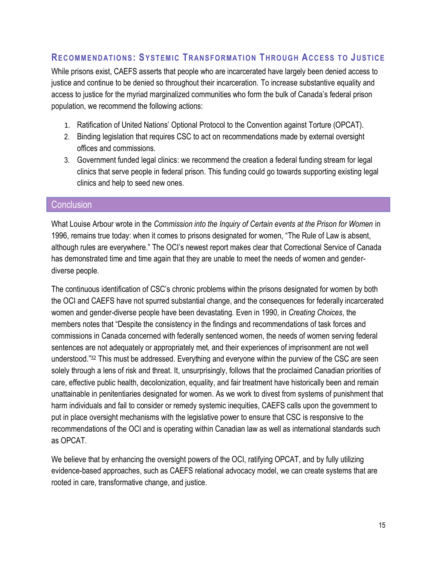#### <span id="page-14-0"></span>**RECOMMENDATIONS: SYSTEMIC TRANSFORMATION THROUGH ACCESS TO JUSTICE**

While prisons exist, CAEFS asserts that people who are incarcerated have largely been denied access to justice and continue to be denied so throughout their incarceration. To increase substantive equality and access to justice for the myriad marginalized communities who form the bulk of Canada's federal prison population, we recommend the following actions:

- 1. Ratification of United Nations' Optional Protocol to the Convention against Torture (OPCAT).
- 2. Binding legislation that requires CSC to act on recommendations made by external oversight offices and commissions.
- 3. Government funded legal clinics: we recommend the creation a federal funding stream for legal clinics that serve people in federal prison. This funding could go towards supporting existing legal clinics and help to seed new ones.

#### <span id="page-14-1"></span>**Conclusion**

What Louise Arbour wrote in the *Commission into the Inquiry of Certain events at the Prison for Women* in 1996, remains true today: when it comes to prisons designated for women, "The Rule of Law is absent, although rules are everywhere." The OCI's newest report makes clear that Correctional Service of Canada has demonstrated time and time again that they are unable to meet the needs of women and genderdiverse people.

The continuous identification of CSC's chronic problems within the prisons designated for women by both the OCI and CAEFS have not spurred substantial change, and the consequences for federally incarcerated women and gender-diverse people have been devastating. Even in 1990, in *Creating Choices*, the members notes that "Despite the consistency in the findings and recommendations of task forces and commissions in Canada concerned with federally sentenced women, the needs of women serving federal sentences are not adequately or appropriately met, and their experiences of imprisonment are not well understood."<sup>32</sup> This must be addressed. Everything and everyone within the purview of the CSC are seen solely through a lens of risk and threat. It, unsurprisingly, follows that the proclaimed Canadian priorities of care, effective public health, decolonization, equality, and fair treatment have historically been and remain unattainable in penitentiaries designated for women. As we work to divest from systems of punishment that harm individuals and fail to consider or remedy systemic inequities, CAEFS calls upon the government to put in place oversight mechanisms with the legislative power to ensure that CSC is responsive to the recommendations of the OCI and is operating within Canadian law as well as international standards such as OPCAT.

We believe that by enhancing the oversight powers of the OCI, ratifying OPCAT, and by fully utilizing evidence-based approaches, such as CAEFS relational advocacy model, we can create systems that are rooted in care, transformative change, and justice.